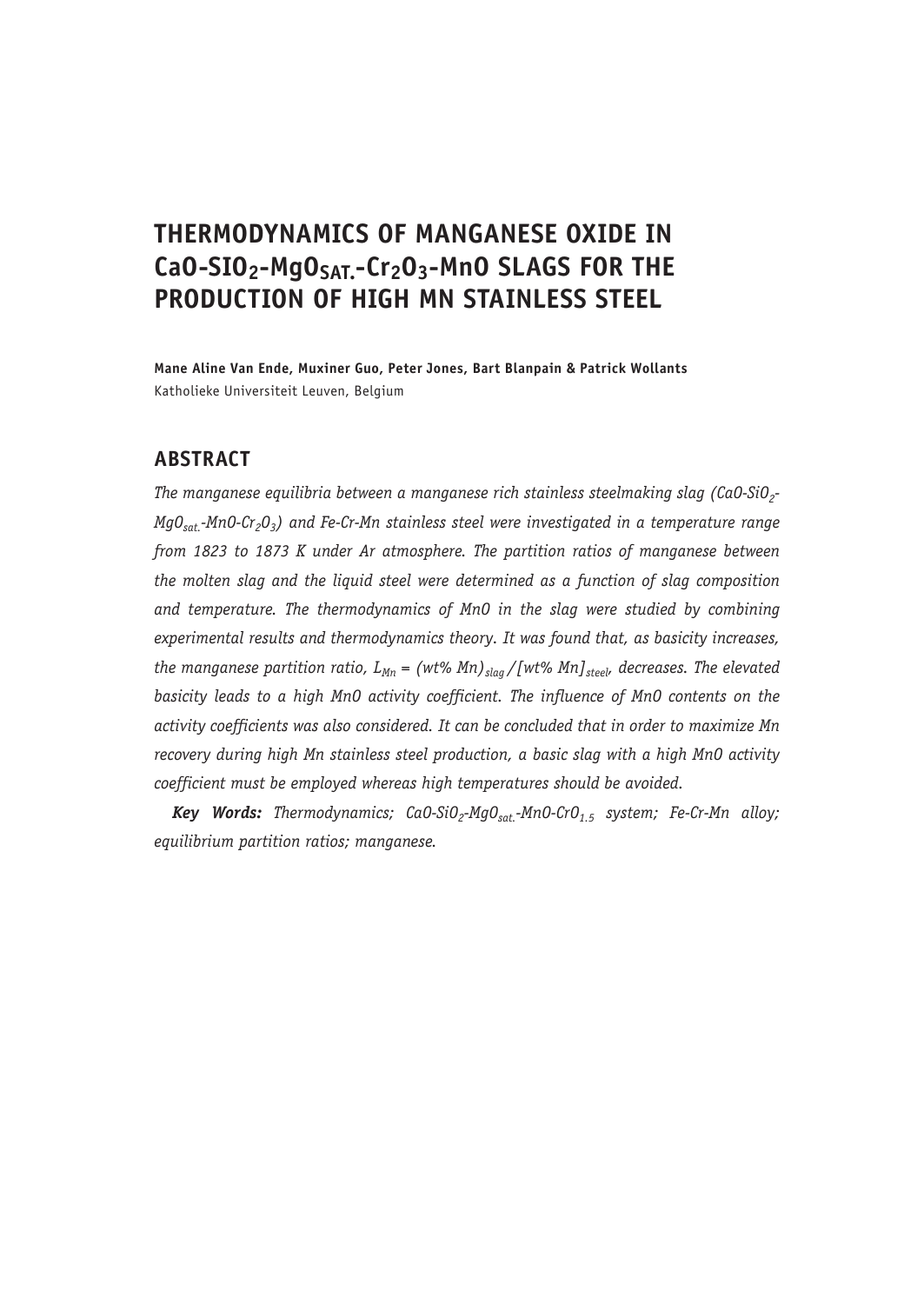# **THERMODYNAMICS OF MANGANESE OXIDE IN**  CaO-SIO<sub>2</sub>-MgO<sub>SAT</sub>-Cr<sub>2</sub>O<sub>3</sub>-MnO SLAGS FOR THE **PRODUCTION OF HIGH MN STAINLESS STEEL**

**Mane Aline Van Ende, Muxiner Guo, Peter Jones, Bart Blanpain & Patrick Wollants** Katholieke Universiteit Leuven, Belgium

# **ABSTRACT**

*The manganese equilibria between a manganese rich stainless steelmaking slag (CaO-SiO<sub>2</sub>-MgOsat.-MnO-Cr2O3) and Fe-Cr-Mn stainless steel were investigated in a temperature range from 1823 to 1873 K under Ar atmosphere. The partition ratios of manganese between the molten slag and the liquid steel were determined as a function of slag composition and temperature. The thermodynamics of MnO in the slag were studied by combining experimental results and thermodynamics theory. It was found that, as basicity increases, the manganese partition ratio,*  $L_{Mn} = (wt\% Mn)_{slag}/[wt\% Mn]_{steel}$ *, decreases. The elevated basicity leads to a high MnO activity coefficient. The influence of MnO contents on the activity coefficients was also considered. It can be concluded that in order to maximize Mn recovery during high Mn stainless steel production, a basic slag with a high MnO activity coefficient must be employed whereas high temperatures should be avoided.*

Key Words: Thermodynamics; CaO-SiO<sub>2</sub>-MgO<sub>sat</sub>-MnO-CrO<sub>1.5</sub> system; Fe-Cr-Mn alloy; *equilibrium partition ratios; manganese.*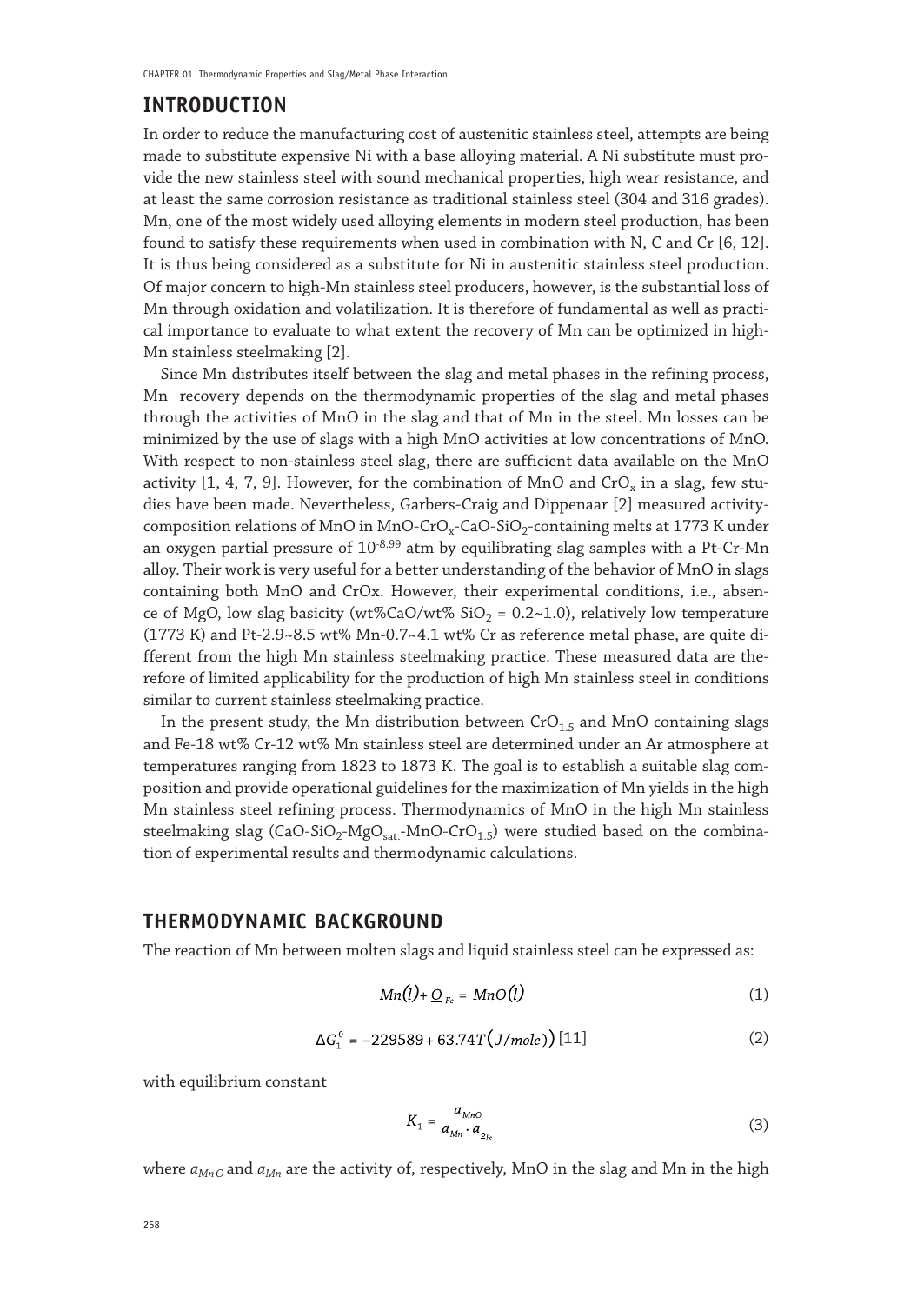# **INTRODUCTION**

In order to reduce the manufacturing cost of austenitic stainless steel, attempts are being made to substitute expensive Ni with a base alloying material. A Ni substitute must provide the new stainless steel with sound mechanical properties, high wear resistance, and at least the same corrosion resistance as traditional stainless steel (304 and 316 grades). Mn, one of the most widely used alloying elements in modern steel production, has been found to satisfy these requirements when used in combination with N, C and Cr [6, 12]. It is thus being considered as a substitute for Ni in austenitic stainless steel production. Of major concern to high-Mn stainless steel producers, however, is the substantial loss of Mn through oxidation and volatilization. It is therefore of fundamental as well as practical importance to evaluate to what extent the recovery of Mn can be optimized in high-Mn stainless steelmaking [2].

Since Mn distributes itself between the slag and metal phases in the refining process, Mn recovery depends on the thermodynamic properties of the slag and metal phases through the activities of MnO in the slag and that of Mn in the steel. Mn losses can be minimized by the use of slags with a high MnO activities at low concentrations of MnO. With respect to non-stainless steel slag, there are sufficient data available on the MnO activity [1, 4, 7, 9]. However, for the combination of MnO and CrO<sub>x</sub> in a slag, few studies have been made. Nevertheless, Garbers-Craig and Dippenaar [2] measured activitycomposition relations of MnO in MnO-CrO<sub>x</sub>-CaO-SiO<sub>2</sub>-containing melts at 1773 K under an oxygen partial pressure of  $10^{-8.99}$  atm by equilibrating slag samples with a Pt-Cr-Mn alloy. Their work is very useful for a better understanding of the behavior of MnO in slags containing both MnO and CrOx. However, their experimental conditions, i.e., absence of MgO, low slag basicity (wt%CaO/wt%  $SiO<sub>2</sub> = 0.2~1.0$ ), relatively low temperature (1773 K) and Pt-2.9~8.5 wt% Mn-0.7~4.1 wt% Cr as reference metal phase, are quite different from the high Mn stainless steelmaking practice. These measured data are therefore of limited applicability for the production of high Mn stainless steel in conditions similar to current stainless steelmaking practice.

In the present study, the Mn distribution between  $CrO<sub>1.5</sub>$  and MnO containing slags and Fe-18 wt% Cr-12 wt% Mn stainless steel are determined under an Ar atmosphere at temperatures ranging from 1823 to 1873 K. The goal is to establish a suitable slag composition and provide operational guidelines for the maximization of Mn yields in the high Mn stainless steel refining process. Thermodynamics of MnO in the high Mn stainless steelmaking slag (CaO-SiO<sub>2</sub>-MgO<sub>sat.</sub>-MnO-CrO<sub>1.5</sub>) were studied based on the combination of experimental results and thermodynamic calculations.

#### **THERMODYNAMIC BACKGROUND**

The reaction of Mn between molten slags and liquid stainless steel can be expressed as:

$$
Mn(l) + \underline{O}_{Fe} = MnO(l) \tag{1}
$$

$$
\Delta G_1^0 = -229589 + 63.74T\big(J/mole)\big)[11] \tag{2}
$$

with equilibrium constant

$$
K_1 = \frac{a_{MnO}}{a_{Mn} \cdot a_{\rho_{re}}} \tag{3}
$$

where  $a_{MnQ}$  and  $a_{Mn}$  are the activity of, respectively, MnO in the slag and Mn in the high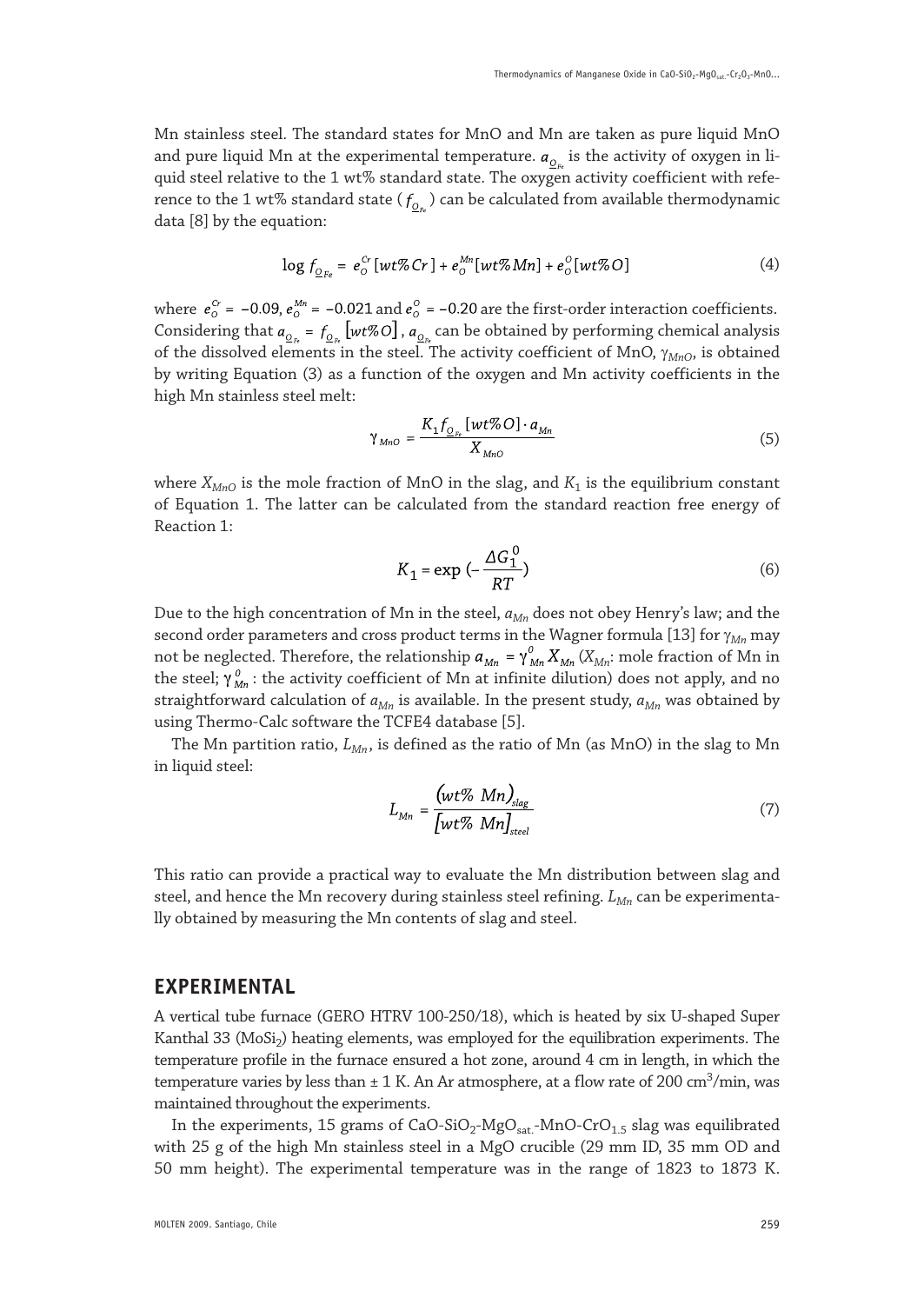Mn stainless steel. The standard states for MnO and Mn are taken as pure liquid MnO and pure liquid Mn at the experimental temperature.  $a_{0}$  is the activity of oxygen in liquid steel relative to the 1 wt% standard state. The oxygen activity coefficient with reference to the 1 wt% standard state ( $f_{o_n}$ ) can be calculated from available thermodynamic data [8] by the equation:

$$
\log f_{O_{F_o}} = e^{C_r}_0 \left[ wt\% Cr \right] + e^{Mn}_0 \left[ wt\% Mn \right] + e^O_0 \left[ wt\% O \right] \tag{4}
$$

where  $e_0^{c_r}$  = -0.09,  $e_0^{M_n}$  = -0.021 and  $e_0^0$  = -0.20 are the first-order interaction coefficients. Considering that  $a_{\underline{\mathrm{O}}_{F}}=f_{\underline{\mathrm{O}}_{F}}\left[wt\%O\right]$  ,  $a_{\underline{\mathrm{O}}_{F}}$  can be obtained by performing chemical analysis of the dissolved elements in the steel. The activity coefficient of MnO, γ*MnO*, is obtained by writing Equation (3) as a function of the oxygen and Mn activity coefficients in the high Mn stainless steel melt:

$$
Y_{MnO} = \frac{K_1 f_{Q_{F_e}} \left[ wt\%O \right] \cdot a_{Mn}}{X_{MnO}} \tag{5}
$$

where  $X_{MnO}$  is the mole fraction of MnO in the slag, and  $K_1$  is the equilibrium constant of Equation 1. The latter can be calculated from the standard reaction free energy of Reaction 1:

$$
K_1 = \exp\left(-\frac{\Delta G_1^0}{RT}\right) \tag{6}
$$

Due to the high concentration of Mn in the steel,  $a_{Mn}$  does not obey Henry's law; and the second order parameters and cross product terms in the Wagner formula [13] for γ*Mn* may not be neglected. Therefore, the relationship  $a_{Mn} = \gamma_{Mn}^0 X_{Mn} (X_{Mn})$ : mole fraction of Mn in the steel;  $\gamma_{Mn}^0$ : the activity coefficient of Mn at infinite dilution) does not apply, and no straightforward calculation of  $a_{Mn}$  is available. In the present study,  $a_{Mn}$  was obtained by using Thermo-Calc software the TCFE4 database [5].

The Mn partition ratio,  $L_{M_n}$ , is defined as the ratio of Mn (as MnO) in the slag to Mn in liquid steel:

$$
L_{Mn} = \frac{(wt\% \ Mn)_{slag}}{[wt\% \ Mn]_{steel}} \tag{7}
$$

This ratio can provide a practical way to evaluate the Mn distribution between slag and steel, and hence the Mn recovery during stainless steel refining.  $L_{Mn}$  can be experimentally obtained by measuring the Mn contents of slag and steel.

#### **EXPERIMENTAL**

A vertical tube furnace (GERO HTRV 100-250/18), which is heated by six U-shaped Super Kanthal 33 (MoSi<sub>2</sub>) heating elements, was employed for the equilibration experiments. The temperature profile in the furnace ensured a hot zone, around 4 cm in length, in which the temperature varies by less than  $\pm$  1 K. An Ar atmosphere, at a flow rate of 200 cm<sup>3</sup>/min, was maintained throughout the experiments.

In the experiments, 15 grams of CaO-SiO<sub>2</sub>-MgO<sub>sat.</sub>-MnO-CrO<sub>1.5</sub> slag was equilibrated with 25 g of the high Mn stainless steel in a MgO crucible (29 mm ID, 35 mm OD and 50 mm height). The experimental temperature was in the range of 1823 to 1873 K.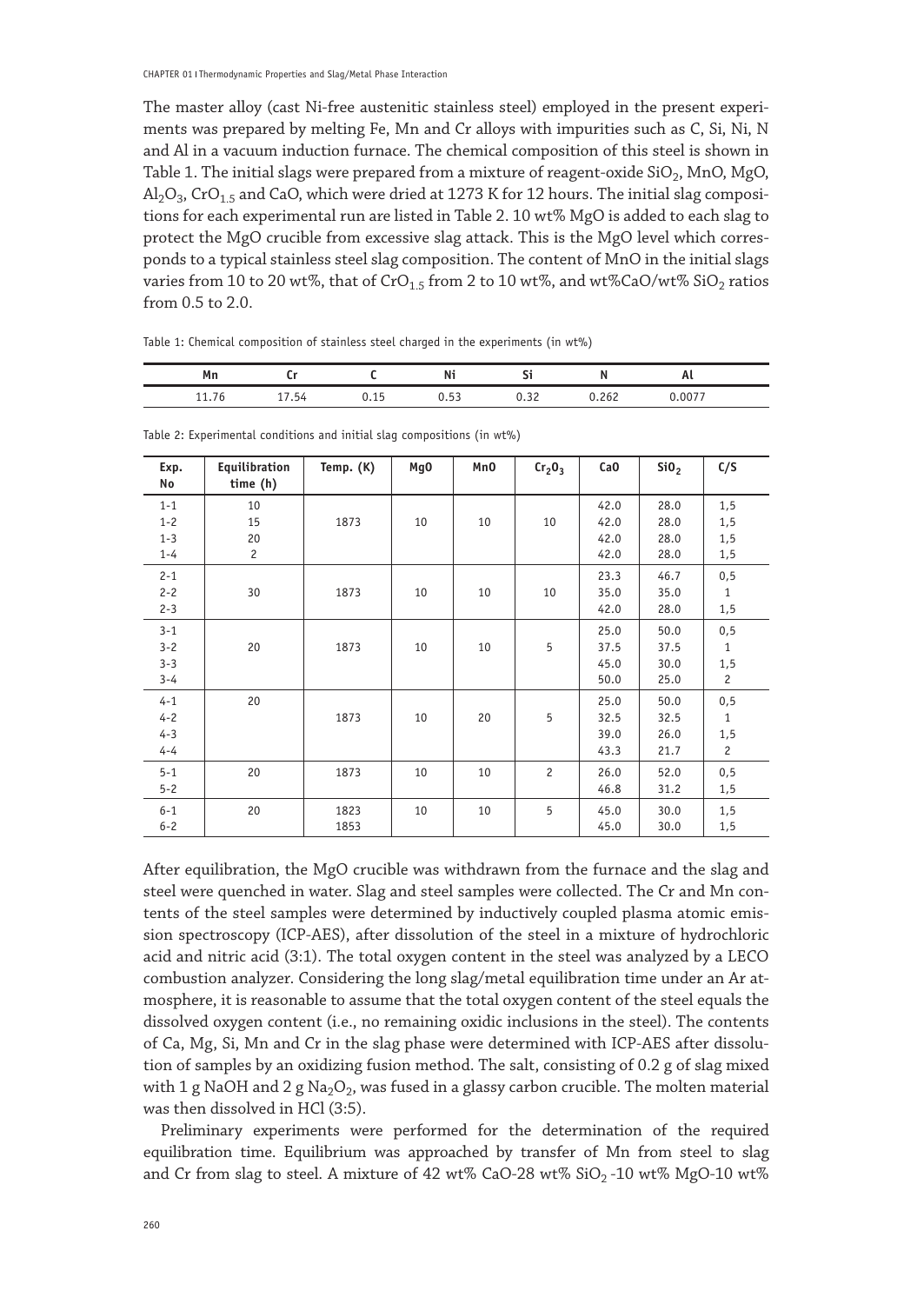The master alloy (cast Ni-free austenitic stainless steel) employed in the present experiments was prepared by melting Fe, Mn and Cr alloys with impurities such as C, Si, Ni, N and Al in a vacuum induction furnace. The chemical composition of this steel is shown in Table 1. The initial slags were prepared from a mixture of reagent-oxide  $SiO<sub>2</sub>$ , MnO, MgO,  $\text{Al}_2\text{O}_3$ , CrO<sub>1.5</sub> and CaO, which were dried at 1273 K for 12 hours. The initial slag compositions for each experimental run are listed in Table 2. 10 wt% MgO is added to each slag to protect the MgO crucible from excessive slag attack. This is the MgO level which corresponds to a typical stainless steel slag composition. The content of MnO in the initial slags varies from 10 to 20 wt%, that of CrO<sub>1.5</sub> from 2 to 10 wt%, and wt%CaO/wt% SiO<sub>2</sub> ratios from 0.5 to 2.0.

|  |  | Table 1: Chemical composition of stainless steel charged in the experiments (in wt%) |  |
|--|--|--------------------------------------------------------------------------------------|--|
|  |  |                                                                                      |  |

| Mn |            | Ni           | . .         |                    | nι<br>__ |  |
|----|------------|--------------|-------------|--------------------|----------|--|
| .  | h/t<br>. . | <br>r o<br>, | <b>U.JL</b> | .<br><br>- - - - - | ററ       |  |

| Exp.<br>No                               | Equilibration<br>time (h)        | Temp. (K)    | Mg0 | Mn0 | Cr <sub>2</sub> O <sub>3</sub> | CaO                          | SiO <sub>2</sub>             | C/S                              |
|------------------------------------------|----------------------------------|--------------|-----|-----|--------------------------------|------------------------------|------------------------------|----------------------------------|
| $1 - 1$<br>$1 - 2$<br>$1 - 3$<br>$1 - 4$ | 10<br>15<br>20<br>$\overline{c}$ | 1873         | 10  | 10  | 10                             | 42.0<br>42.0<br>42.0<br>42.0 | 28.0<br>28.0<br>28.0<br>28.0 | 1,5<br>1,5<br>1,5<br>1,5         |
| $2 - 1$<br>$2 - 2$<br>$2 - 3$            | 30                               | 1873         | 10  | 10  | 10                             | 23.3<br>35.0<br>42.0         | 46.7<br>35.0<br>28.0         | 0, 5<br>$\mathbf{1}$<br>1, 5     |
| $3 - 1$<br>$3 - 2$<br>$3 - 3$<br>$3 - 4$ | 20                               | 1873         | 10  | 10  | 5                              | 25.0<br>37.5<br>45.0<br>50.0 | 50.0<br>37.5<br>30.0<br>25.0 | 0, 5<br>$1\,$<br>1,5<br>2        |
| $4 - 1$<br>$4 - 2$<br>$4 - 3$<br>$4 - 4$ | 20                               | 1873         | 10  | 20  | 5                              | 25.0<br>32.5<br>39.0<br>43.3 | 50.0<br>32.5<br>26.0<br>21.7 | 0, 5<br>$\mathbf{1}$<br>1,5<br>2 |
| $5 - 1$<br>$5 - 2$                       | 20                               | 1873         | 10  | 10  | $\overline{c}$                 | 26.0<br>46.8                 | 52.0<br>31.2                 | 0, 5<br>1,5                      |
| $6 - 1$<br>$6 - 2$                       | 20                               | 1823<br>1853 | 10  | 10  | 5                              | 45.0<br>45.0                 | 30.0<br>30.0                 | 1,5<br>1,5                       |

Table 2: Experimental conditions and initial slag compositions (in wt%)

After equilibration, the MgO crucible was withdrawn from the furnace and the slag and steel were quenched in water. Slag and steel samples were collected. The Cr and Mn contents of the steel samples were determined by inductively coupled plasma atomic emission spectroscopy (ICP-AES), after dissolution of the steel in a mixture of hydrochloric acid and nitric acid (3:1). The total oxygen content in the steel was analyzed by a LECO combustion analyzer. Considering the long slag/metal equilibration time under an Ar atmosphere, it is reasonable to assume that the total oxygen content of the steel equals the dissolved oxygen content (i.e., no remaining oxidic inclusions in the steel). The contents of Ca, Mg, Si, Mn and Cr in the slag phase were determined with ICP-AES after dissolution of samples by an oxidizing fusion method. The salt, consisting of 0.2 g of slag mixed with 1 g NaOH and 2 g Na<sub>2</sub>O<sub>2</sub>, was fused in a glassy carbon crucible. The molten material was then dissolved in HCl (3:5).

Preliminary experiments were performed for the determination of the required equilibration time. Equilibrium was approached by transfer of Mn from steel to slag and Cr from slag to steel. A mixture of 42 wt% CaO-28 wt%  $SiO_2$ -10 wt% MgO-10 wt%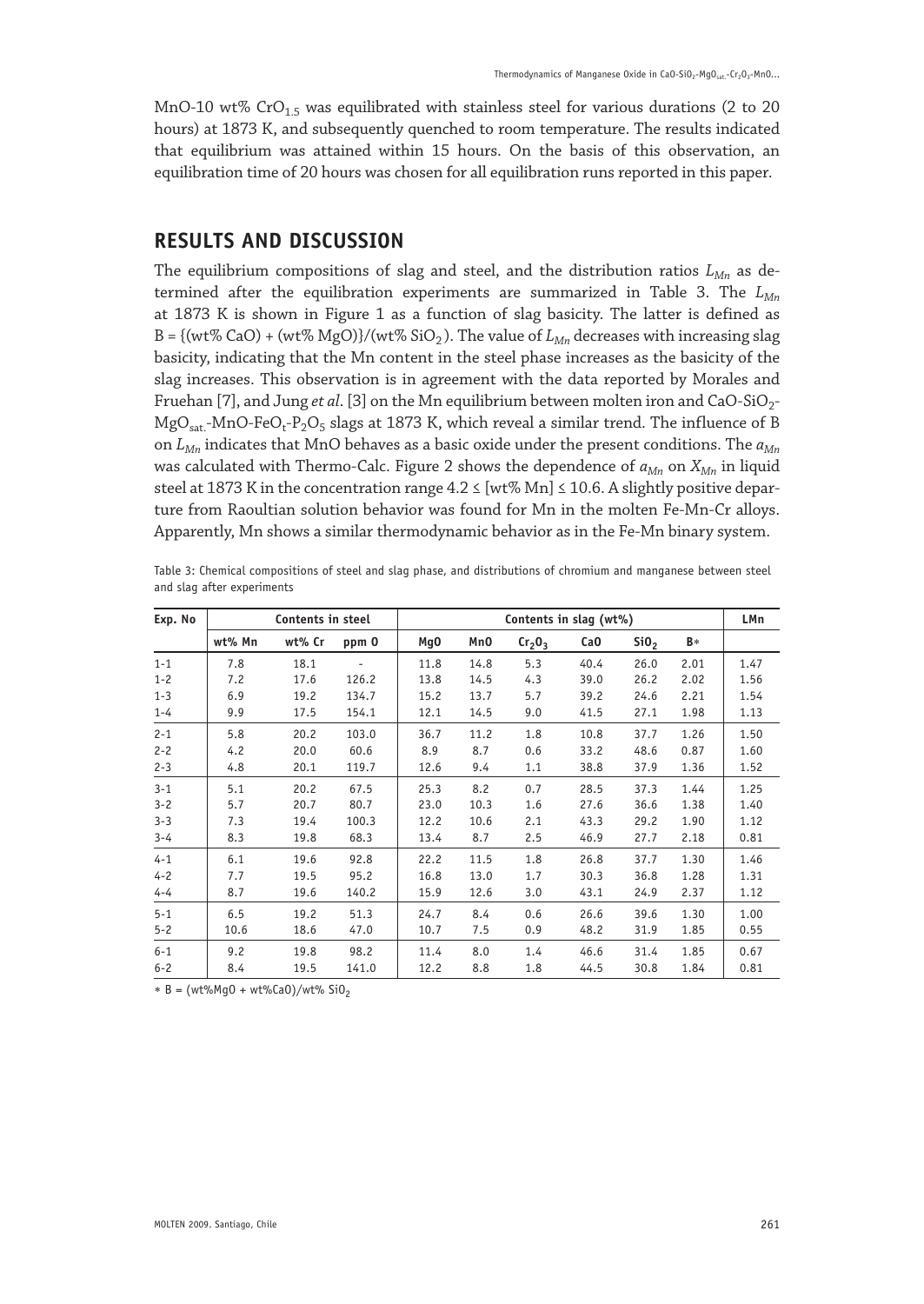MnO-10 wt% CrO<sub>1.5</sub> was equilibrated with stainless steel for various durations (2 to 20 hours) at 1873 K, and subsequently quenched to room temperature. The results indicated that equilibrium was attained within 15 hours. On the basis of this observation, an equilibration time of 20 hours was chosen for all equilibration runs reported in this paper.

# **RESULTS AND DISCUSSION**

The equilibrium compositions of slag and steel, and the distribution ratios  $L_{Mn}$  as determined after the equilibration experiments are summarized in Table 3. The *LMn* at 1873 K is shown in Figure 1 as a function of slag basicity. The latter is defined as B = {(wt% CaO) + (wt% MgO)}/(wt% SiO<sub>2</sub>). The value of  $L_{Mn}$  decreases with increasing slag basicity, indicating that the Mn content in the steel phase increases as the basicity of the slag increases. This observation is in agreement with the data reported by Morales and Fruehan [7], and Jung *et al.* [3] on the Mn equilibrium between molten iron and CaO-SiO<sub>2</sub>- $MgO<sub>sat</sub>$ -MnO-FeO<sub>t</sub>-P<sub>2</sub>O<sub>5</sub> slags at 1873 K, which reveal a similar trend. The influence of B on *LMn* indicates that MnO behaves as a basic oxide under the present conditions. The *aMn* was calculated with Thermo-Calc. Figure 2 shows the dependence of  $a_{Mn}$  on  $X_{Mn}$  in liquid steel at 1873 K in the concentration range  $4.2 \leq [wt\% Mn] \leq 10.6$ . A slightly positive departure from Raoultian solution behavior was found for Mn in the molten Fe-Mn-Cr alloys. Apparently, Mn shows a similar thermodynamic behavior as in the Fe-Mn binary system.

| Exp. No | Contents in steel |        |                          |                 | Contents in slag (wt%) |                                |                 |                  |      |      |
|---------|-------------------|--------|--------------------------|-----------------|------------------------|--------------------------------|-----------------|------------------|------|------|
|         | wt% Mn            | wt% Cr | ppm 0                    | Mg <sub>0</sub> | Mn0                    | Cr <sub>2</sub> O <sub>3</sub> | Ca <sub>0</sub> | SiO <sub>2</sub> | B*   |      |
| $1 - 1$ | 7.8               | 18.1   | $\overline{\phantom{a}}$ | 11.8            | 14.8                   | 5.3                            | 40.4            | 26.0             | 2.01 | 1.47 |
| $1 - 2$ | 7.2               | 17.6   | 126.2                    | 13.8            | 14.5                   | 4.3                            | 39.0            | 26.2             | 2.02 | 1.56 |
| $1 - 3$ | 6.9               | 19.2   | 134.7                    | 15.2            | 13.7                   | 5.7                            | 39.2            | 24.6             | 2.21 | 1.54 |
| $1 - 4$ | 9.9               | 17.5   | 154.1                    | 12.1            | 14.5                   | 9.0                            | 41.5            | 27.1             | 1.98 | 1.13 |
| $2 - 1$ | 5.8               | 20.2   | 103.0                    | 36.7            | 11.2                   | 1.8                            | 10.8            | 37.7             | 1.26 | 1.50 |
| $2 - 2$ | 4.2               | 20.0   | 60.6                     | 8.9             | 8.7                    | 0.6                            | 33.2            | 48.6             | 0.87 | 1.60 |
| $2 - 3$ | 4.8               | 20.1   | 119.7                    | 12.6            | 9.4                    | 1.1                            | 38.8            | 37.9             | 1.36 | 1.52 |
| $3 - 1$ | 5.1               | 20.2   | 67.5                     | 25.3            | 8.2                    | 0.7                            | 28.5            | 37.3             | 1.44 | 1.25 |
| $3 - 2$ | 5.7               | 20.7   | 80.7                     | 23.0            | 10.3                   | 1.6                            | 27.6            | 36.6             | 1.38 | 1.40 |
| $3 - 3$ | 7.3               | 19.4   | 100.3                    | 12.2            | 10.6                   | 2.1                            | 43.3            | 29.2             | 1.90 | 1.12 |
| $3 - 4$ | 8.3               | 19.8   | 68.3                     | 13.4            | 8.7                    | 2.5                            | 46.9            | 27.7             | 2.18 | 0.81 |
| $4 - 1$ | 6.1               | 19.6   | 92.8                     | 22.2            | 11.5                   | 1.8                            | 26.8            | 37.7             | 1.30 | 1.46 |
| $4 - 2$ | 7.7               | 19.5   | 95.2                     | 16.8            | 13.0                   | 1.7                            | 30.3            | 36.8             | 1.28 | 1.31 |
| $4 - 4$ | 8.7               | 19.6   | 140.2                    | 15.9            | 12.6                   | 3.0                            | 43.1            | 24.9             | 2.37 | 1.12 |
| $5 - 1$ | 6.5               | 19.2   | 51.3                     | 24.7            | 8.4                    | 0.6                            | 26.6            | 39.6             | 1.30 | 1.00 |
| $5 - 2$ | 10.6              | 18.6   | 47.0                     | 10.7            | 7.5                    | 0.9                            | 48.2            | 31.9             | 1.85 | 0.55 |
| $6 - 1$ | 9.2               | 19.8   | 98.2                     | 11.4            | 8.0                    | 1.4                            | 46.6            | 31.4             | 1.85 | 0.67 |
| $6 - 2$ | 8.4               | 19.5   | 141.0                    | 12.2            | 8.8                    | 1.8                            | 44.5            | 30.8             | 1.84 | 0.81 |

Table 3: Chemical compositions of steel and slag phase, and distributions of chromium and manganese between steel and slag after experiments

 $* B = (wt\%Mq0 + wt\%Ca0)/wt\%Si0$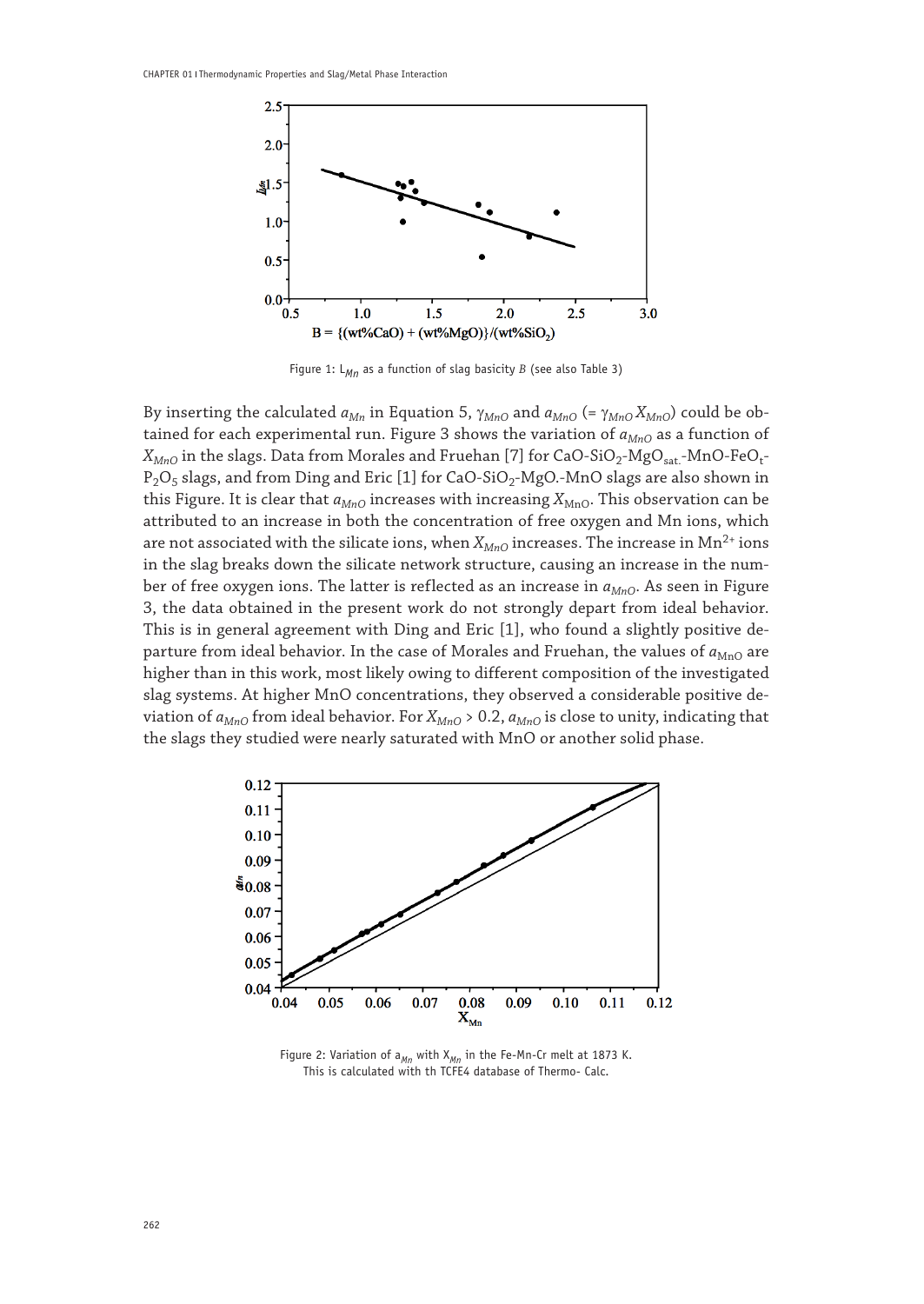

Figure 1: L*Mn* as a function of slag basicity *B* (see also Table 3)

By inserting the calculated  $a_{Mn}$  in Equation 5,  $γ_{MnO}$  and  $a_{MnO}$  (=  $γ_{MnO}X_{MnO}$ ) could be obtained for each experimental run. Figure 3 shows the variation of  $a_{MnO}$  as a function of  $X_{MnO}$  in the slags. Data from Morales and Fruehan [7] for CaO-SiO<sub>2</sub>-MgO<sub>sat.</sub>-MnO-FeO<sub>t</sub>- $P_2O_5$  slags, and from Ding and Eric [1] for CaO-SiO<sub>2</sub>-MgO.-MnO slags are also shown in this Figure. It is clear that  $a_{MnO}$  increases with increasing  $X_{MnO}$ . This observation can be attributed to an increase in both the concentration of free oxygen and Mn ions, which are not associated with the silicate ions, when  $X_{MnO}$  increases. The increase in  $Mn^{2+}$  ions in the slag breaks down the silicate network structure, causing an increase in the number of free oxygen ions. The latter is reflected as an increase in  $a_{MnO}$ . As seen in Figure 3, the data obtained in the present work do not strongly depart from ideal behavior. This is in general agreement with Ding and Eric [1], who found a slightly positive departure from ideal behavior. In the case of Morales and Fruehan, the values of  $a_{\text{MnO}}$  are higher than in this work, most likely owing to different composition of the investigated slag systems. At higher MnO concentrations, they observed a considerable positive deviation of  $a_{MnO}$  from ideal behavior. For  $X_{MnO}$  > 0.2,  $a_{MnO}$  is close to unity, indicating that the slags they studied were nearly saturated with MnO or another solid phase.



Figure 2: Variation of a<sub>Mn</sub> with X<sub>Mn</sub> in the Fe-Mn-Cr melt at 1873 K. This is calculated with th TCFE4 database of Thermo- Calc.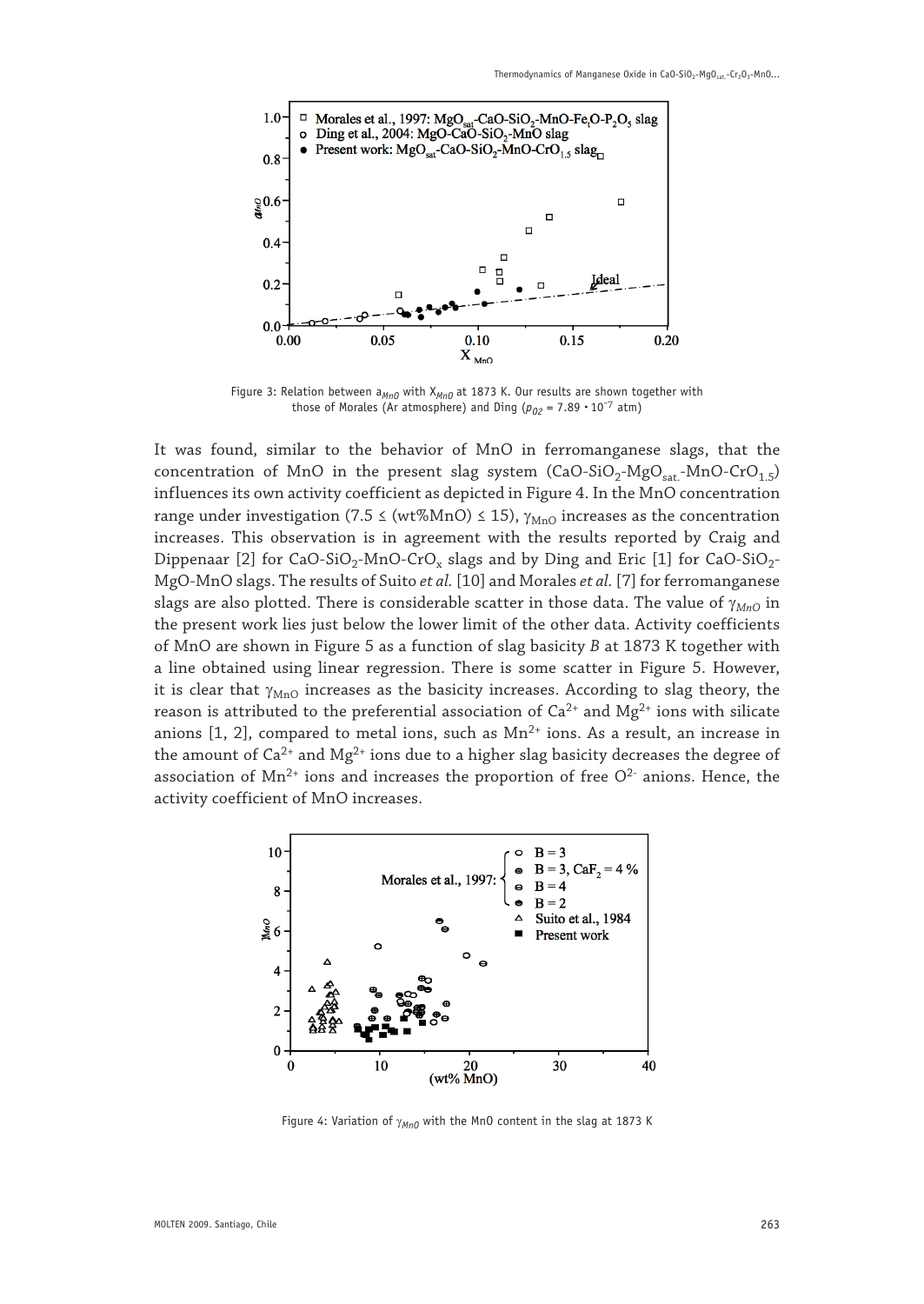

Figure 3: Relation between a<sub>MnO</sub> with X<sub>MnO</sub> at 1873 K. Our results are shown together with those of Morales (Ar atmosphere) and Ding ( $p_{02} = 7.89 \cdot 10^{-7}$  atm)

It was found, similar to the behavior of MnO in ferromanganese slags, that the concentration of MnO in the present slag system  $(CaO-SiO<sub>2</sub>-MgO<sub>sat</sub>-MnO-CrO<sub>1.5</sub>)$ influences its own activity coefficient as depicted in Figure 4. In the MnO concentration range under investigation (7.5  $\leq$  (wt%MnO)  $\leq$  15),  $\gamma_{\text{MnO}}$  increases as the concentration increases. This observation is in agreement with the results reported by Craig and Dippenaar [2] for CaO-SiO<sub>2</sub>-MnO-CrO<sub>x</sub> slags and by Ding and Eric [1] for CaO-SiO<sub>2</sub>-MgO-MnO slags. The results of Suito *et al.* [10] and Morales *et al.* [7] for ferromanganese slags are also plotted. There is considerable scatter in those data. The value of γ<sub>*MnO*</sub> in the present work lies just below the lower limit of the other data. Activity coefficients of MnO are shown in Figure 5 as a function of slag basicity *B* at 1873 K together with a line obtained using linear regression. There is some scatter in Figure 5. However, it is clear that  $\gamma_{\text{MnO}}$  increases as the basicity increases. According to slag theory, the reason is attributed to the preferential association of  $Ca^{2+}$  and  $Mg^{2+}$  ions with silicate anions  $[1, 2]$ , compared to metal ions, such as  $Mn^{2+}$  ions. As a result, an increase in the amount of  $Ca^{2+}$  and  $Mg^{2+}$  ions due to a higher slag basicity decreases the degree of association of  $Mn^{2+}$  ions and increases the proportion of free  $O<sup>2-</sup>$  anions. Hence, the activity coefficient of MnO increases.



Figure 4: Variation of γ<sub>MnO</sub> with the MnO content in the slag at 1873 K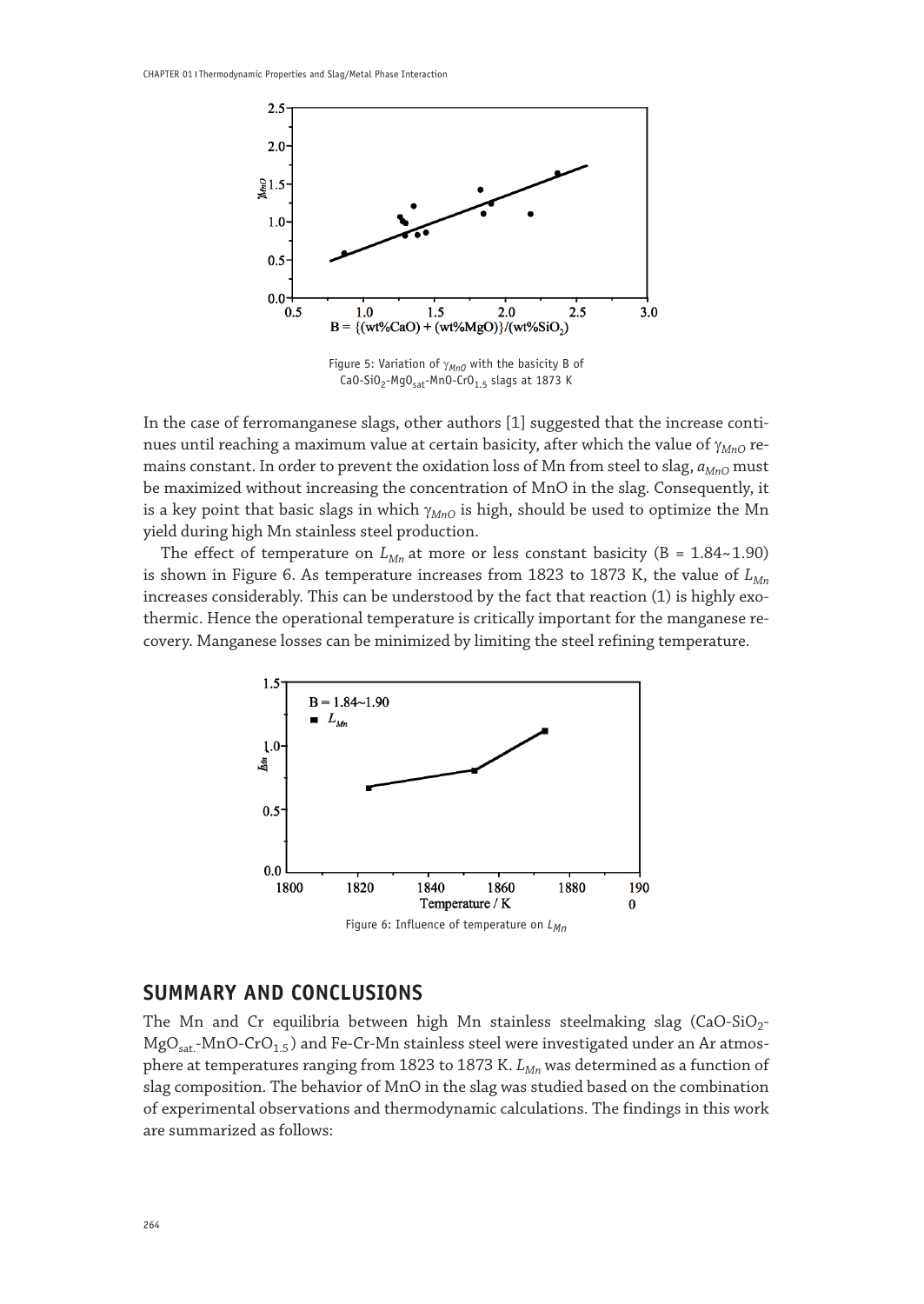

Figure 5: Variation of γ<sub>MnO</sub> with the basicity B of  $CaO-SiO<sub>2</sub>-MgO<sub>sat</sub>-MnO-CrO<sub>1.5</sub> slags at 1873 K$ 

In the case of ferromanganese slags, other authors [1] suggested that the increase continues until reaching a maximum value at certain basicity, after which the value of γ<sub>*MnO*</sub> remains constant. In order to prevent the oxidation loss of Mn from steel to slag,  $a_{MnO}$  must be maximized without increasing the concentration of MnO in the slag. Consequently, it is a key point that basic slags in which γ<sub>MnO</sub> is high, should be used to optimize the Mn yield during high Mn stainless steel production.

The effect of temperature on  $L_{Mn}$  at more or less constant basicity (B = 1.84~1.90) is shown in Figure 6. As temperature increases from 1823 to 1873 K, the value of  $L_{Mn}$ increases considerably. This can be understood by the fact that reaction (1) is highly exothermic. Hence the operational temperature is critically important for the manganese recovery. Manganese losses can be minimized by limiting the steel refining temperature.



# **SUMMARY AND CONCLUSIONS**

The Mn and Cr equilibria between high Mn stainless steelmaking slag  $(CaO-SiO<sub>2</sub> MgO<sub>sat</sub>$ -MnO-CrO<sub>1.5</sub>) and Fe-Cr-Mn stainless steel were investigated under an Ar atmosphere at temperatures ranging from 1823 to 1873 K. *L<sub>Mn</sub>* was determined as a function of slag composition. The behavior of MnO in the slag was studied based on the combination of experimental observations and thermodynamic calculations. The findings in this work are summarized as follows: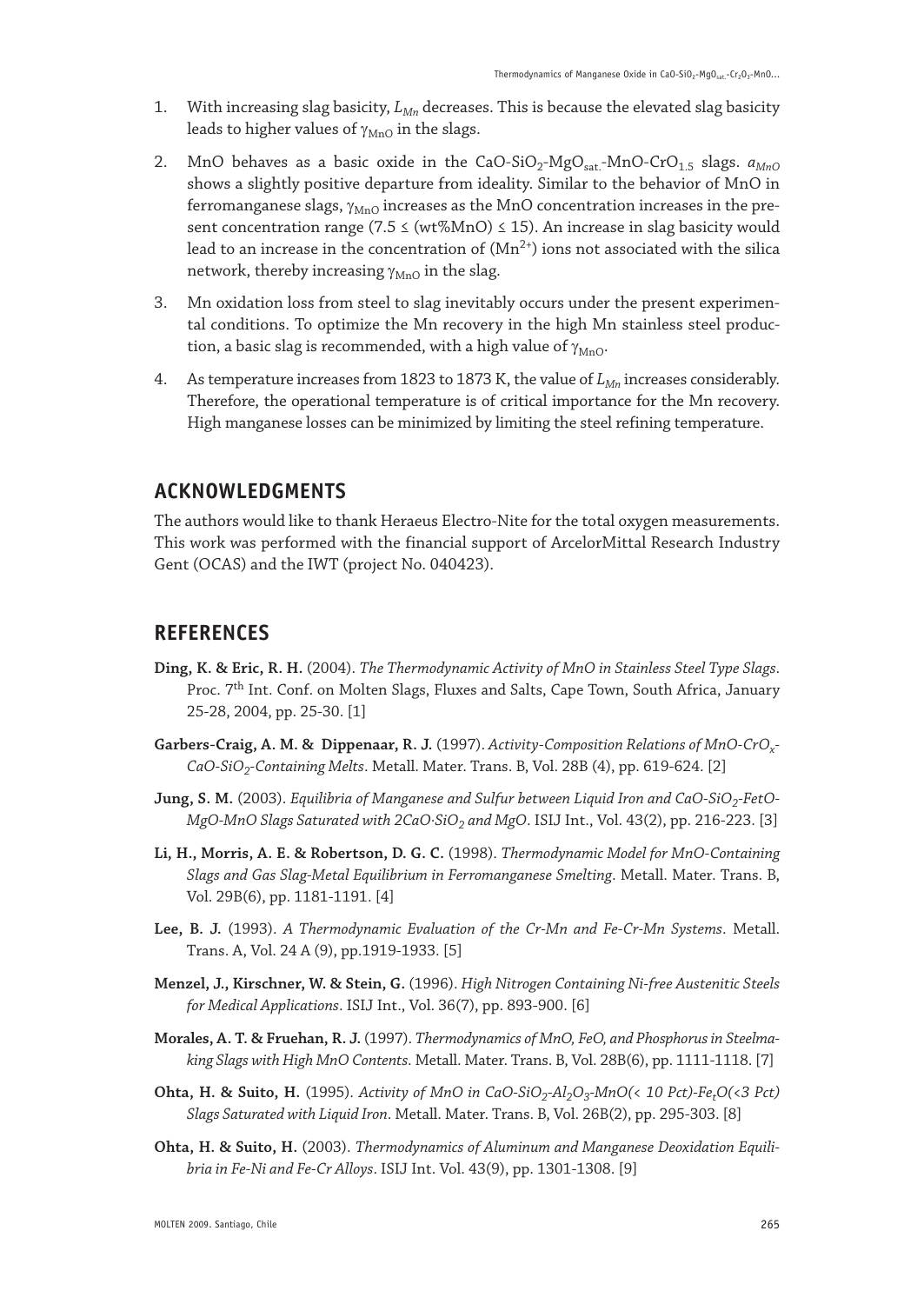- 1. With increasing slag basicity,  $L_{Mn}$  decreases. This is because the elevated slag basicity leads to higher values of  $\gamma_{\text{MnO}}$  in the slags.
- 2. MnO behaves as a basic oxide in the CaO-SiO<sub>2</sub>-MgO<sub>sat</sub>-MnO-CrO<sub>1.5</sub> slags.  $a_{MnO}$ shows a slightly positive departure from ideality. Similar to the behavior of MnO in ferromanganese slags,  $\gamma_{MnO}$  increases as the MnO concentration increases in the present concentration range (7.5  $\leq$  (wt%MnO)  $\leq$  15). An increase in slag basicity would lead to an increase in the concentration of  $(Mn^{2+})$  ions not associated with the silica network, thereby increasing  $\gamma_{\rm MnO}$  in the slag.
- 3. Mn oxidation loss from steel to slag inevitably occurs under the present experimental conditions. To optimize the Mn recovery in the high Mn stainless steel production, a basic slag is recommended, with a high value of  $\gamma_{\rm MnO}$ .
- 4. As temperature increases from 1823 to 1873 K, the value of  $L_{Mn}$  increases considerably. Therefore, the operational temperature is of critical importance for the Mn recovery. High manganese losses can be minimized by limiting the steel refining temperature.

# **ACKNOWLEDGMENTS**

The authors would like to thank Heraeus Electro-Nite for the total oxygen measurements. This work was performed with the financial support of ArcelorMittal Research Industry Gent (OCAS) and the IWT (project No. 040423).

## **REFERENCES**

- **Ding, K. & Eric, R. H.** (2004). *The Thermodynamic Activity of MnO in Stainless Steel Type Slags*. Proc. 7<sup>th</sup> Int. Conf. on Molten Slags, Fluxes and Salts, Cape Town, South Africa, January 25-28, 2004, pp. 25-30. [1]
- **Garbers-Craig, A. M. & Dippenaar, R. J.** (1997). *Activity-Composition Relations of MnO-CrOx-CaO-SiO2-Containing Melts*. Metall. Mater. Trans. B, Vol. 28B (4), pp. 619-624. [2]
- Jung, S. M. (2003). *Equilibria of Manganese and Sulfur between Liquid Iron and CaO-SiO<sub>2</sub>-FetO-MgO-MnO Slags Saturated with 2CaO·SiO2 and MgO*. ISIJ Int., Vol. 43(2), pp. 216-223. [3]
- **Li, H., Morris, A. E. & Robertson, D. G. C.** (1998). *Thermodynamic Model for MnO-Containing Slags and Gas Slag-Metal Equilibrium in Ferromanganese Smelting*. Metall. Mater. Trans. B, Vol. 29B(6), pp. 1181-1191. [4]
- **Lee, B. J.** (1993). *A Thermodynamic Evaluation of the Cr-Mn and Fe-Cr-Mn Systems*. Metall. Trans. A, Vol. 24 A (9), pp.1919-1933. [5]
- **Menzel, J., Kirschner, W. & Stein, G.** (1996). *High Nitrogen Containing Ni-free Austenitic Steels for Medical Applications*. ISIJ Int., Vol. 36(7), pp. 893-900. [6]
- **Morales, A. T. & Fruehan, R. J.** (1997). *Thermodynamics of MnO, FeO, and Phosphorus in Steelmaking Slags with High MnO Contents*. Metall. Mater. Trans. B, Vol. 28B(6), pp. 1111-1118. [7]
- **Ohta, H. & Suito, H.** (1995). *Activity of MnO in CaO-SiO<sub>2</sub>-Al<sub>2</sub>O<sub>3</sub>-MnO(< 10 Pct)-Fe<sub>r</sub>O(<3 Pct) Slags Saturated with Liquid Iron*. Metall. Mater. Trans. B, Vol. 26B(2), pp. 295-303. [8]
- **Ohta, H. & Suito, H.** (2003). *Thermodynamics of Aluminum and Manganese Deoxidation Equilibria in Fe-Ni and Fe-Cr Alloys*. ISIJ Int. Vol. 43(9), pp. 1301-1308. [9]